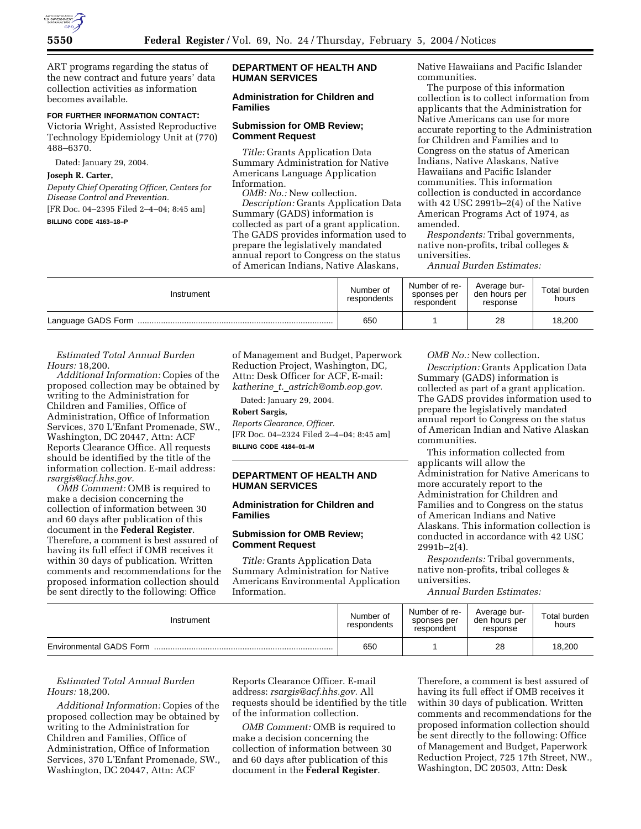

ART programs regarding the status of the new contract and future years' data collection activities as information becomes available.

# **FOR FURTHER INFORMATION CONTACT:**

Victoria Wright, Assisted Reproductive Technology Epidemiology Unit at (770) 488–6370.

Dated: January 29, 2004.

## **Joseph R. Carter,**

*Deputy Chief Operating Officer, Centers for Disease Control and Prevention.*

[FR Doc. 04–2395 Filed 2–4–04; 8:45 am]

**BILLING CODE 4163–18–P**

## **DEPARTMENT OF HEALTH AND HUMAN SERVICES**

## **Administration for Children and Families**

#### **Submission for OMB Review; Comment Request**

*Title:* Grants Application Data Summary Administration for Native Americans Language Application Information.

*OMB: No.:* New collection. *Description:* Grants Application Data Summary (GADS) information is collected as part of a grant application. The GADS provides information used to prepare the legislatively mandated annual report to Congress on the status of American Indians, Native Alaskans,

Native Hawaiians and Pacific Islander communities.

The purpose of this information collection is to collect information from applicants that the Administration for Native Americans can use for more accurate reporting to the Administration for Children and Families and to Congress on the status of American Indians, Native Alaskans, Native Hawaiians and Pacific Islander communities. This information collection is conducted in accordance with 42 USC 2991b–2(4) of the Native American Programs Act of 1974, as amended.

*Respondents:* Tribal governments, native non-profits, tribal colleges & universities.

*Annual Burden Estimates:*

| Instrument         | Number of<br>respondents | Number of re-<br>sponses per<br>respondent | Average bur-<br>den hours per<br>response | Total burden<br>hours |
|--------------------|--------------------------|--------------------------------------------|-------------------------------------------|-----------------------|
| Language GADS Form | 650                      |                                            | 28                                        | 18,200                |

*Estimated Total Annual Burden Hours:* 18,200.

*Additional Information:* Copies of the proposed collection may be obtained by writing to the Administration for Children and Families, Office of Administration, Office of Information Services, 370 L'Enfant Promenade, SW., Washington, DC 20447, Attn: ACF Reports Clearance Office. All requests should be identified by the title of the information collection. E-mail address: *rsargis@acf.hhs.gov.*

*OMB Comment:* OMB is required to make a decision concerning the collection of information between 30 and 60 days after publication of this document in the **Federal Register**. Therefore, a comment is best assured of having its full effect if OMB receives it within 30 days of publication. Written comments and recommendations for the proposed information collection should be sent directly to the following: Office

of Management and Budget, Paperwork Reduction Project, Washington, DC, Attn: Desk Officer for ACF, E-mail: *katherine*\_*t.*\_*astrich@omb.eop.gov.*

Dated: January 29, 2004.

## **Robert Sargis,**

*Reports Clearance, Officer.* [FR Doc. 04–2324 Filed 2–4–04; 8:45 am] **BILLING CODE 4184–01–M**

## **DEPARTMENT OF HEALTH AND HUMAN SERVICES**

## **Administration for Children and Families**

## **Submission for OMB Review; Comment Request**

*Title:* Grants Application Data Summary Administration for Native Americans Environmental Application Information.

*OMB No.:* New collection.

*Description:* Grants Application Data Summary (GADS) information is collected as part of a grant application. The GADS provides information used to prepare the legislatively mandated annual report to Congress on the status of American Indian and Native Alaskan communities.

This information collected from applicants will allow the Administration for Native Americans to more accurately report to the Administration for Children and Families and to Congress on the status of American Indians and Native Alaskans. This information collection is conducted in accordance with 42 USC  $2991b - 2(4)$ .

*Respondents:* Tribal governments, native non-profits, tribal colleges & universities.

*Annual Burden Estimates:*

| Instrument                     | Number of<br>respondents | Number of re-<br>sponses per<br>respondent | Average bur-<br>den hours per<br>response | Total burden<br>hours |
|--------------------------------|--------------------------|--------------------------------------------|-------------------------------------------|-----------------------|
| <b>Environmental GADS Form</b> | 650                      |                                            | 28                                        | 18,200                |

## *Estimated Total Annual Burden Hours:* 18,200.

*Additional Information:* Copies of the proposed collection may be obtained by writing to the Administration for Children and Families, Office of Administration, Office of Information Services, 370 L'Enfant Promenade, SW., Washington, DC 20447, Attn: ACF

Reports Clearance Officer. E-mail address: *rsargis@acf.hhs.gov.* All requests should be identified by the title of the information collection.

*OMB Comment:* OMB is required to make a decision concerning the collection of information between 30 and 60 days after publication of this document in the **Federal Register**.

Therefore, a comment is best assured of having its full effect if OMB receives it within 30 days of publication. Written comments and recommendations for the proposed information collection should be sent directly to the following: Office of Management and Budget, Paperwork Reduction Project, 725 17th Street, NW., Washington, DC 20503, Attn: Desk